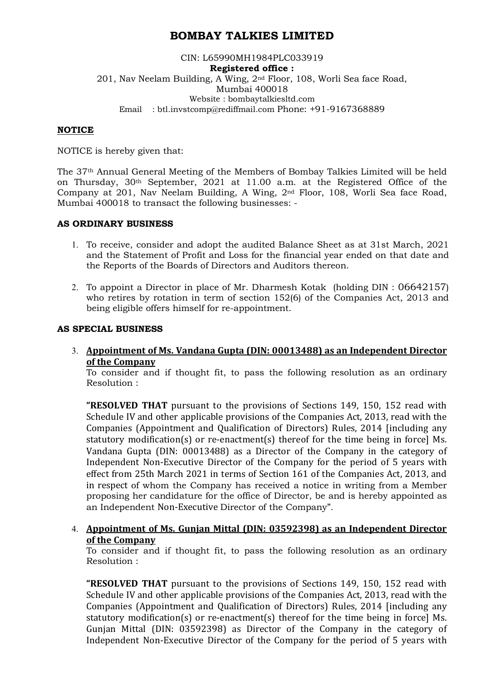# **BOMBAY TALKIES LIMITED**

## CIN: L65990MH1984PLC033919 **Registered office :**  201, Nav Neelam Building, A Wing, 2nd Floor, 108, Worli Sea face Road, Mumbai 400018 Website : bombaytalkiesltd.com Email : btl.invstcomp@rediffmail.com Phone: +91-9167368889

## **NOTICE**

NOTICE is hereby given that:

The 37th Annual General Meeting of the Members of Bombay Talkies Limited will be held on Thursday, 30th September, 2021 at 11.00 a.m. at the Registered Office of the Company at 201, Nav Neelam Building, A Wing, 2nd Floor, 108, Worli Sea face Road, Mumbai 400018 to transact the following businesses: -

#### **AS ORDINARY BUSINESS**

- 1. To receive, consider and adopt the audited Balance Sheet as at 31st March, 2021 and the Statement of Profit and Loss for the financial year ended on that date and the Reports of the Boards of Directors and Auditors thereon.
- 2. To appoint a Director in place of Mr. Dharmesh Kotak (holding DIN : 06642157) who retires by rotation in term of section 152(6) of the Companies Act, 2013 and being eligible offers himself for re-appointment.

#### **AS SPECIAL BUSINESS**

3. **Appointment of Ms. Vandana Gupta (DIN: 00013488) as an Independent Director of the Company**

To consider and if thought fit, to pass the following resolution as an ordinary Resolution :

**"RESOLVED THAT** pursuant to the provisions of Sections 149, 150, 152 read with Schedule IV and other applicable provisions of the Companies Act, 2013, read with the Companies (Appointment and Qualification of Directors) Rules, 2014 [including any statutory modification(s) or re-enactment(s) thereof for the time being in force] Ms. Vandana Gupta (DIN: 00013488) as a Director of the Company in the category of Independent Non-Executive Director of the Company for the period of 5 years with effect from 25th March 2021 in terms of Section 161 of the Companies Act, 2013, and in respect of whom the Company has received a notice in writing from a Member proposing her candidature for the office of Director, be and is hereby appointed as an Independent Non-Executive Director of the Company".

# 4. **Appointment of Ms. Gunjan Mittal (DIN: 03592398) as an Independent Director of the Company**

To consider and if thought fit, to pass the following resolution as an ordinary Resolution :

**"RESOLVED THAT** pursuant to the provisions of Sections 149, 150, 152 read with Schedule IV and other applicable provisions of the Companies Act, 2013, read with the Companies (Appointment and Qualification of Directors) Rules, 2014 [including any statutory modification(s) or re-enactment(s) thereof for the time being in force] Ms. Gunjan Mittal (DIN: 03592398) as Director of the Company in the category of Independent Non-Executive Director of the Company for the period of 5 years with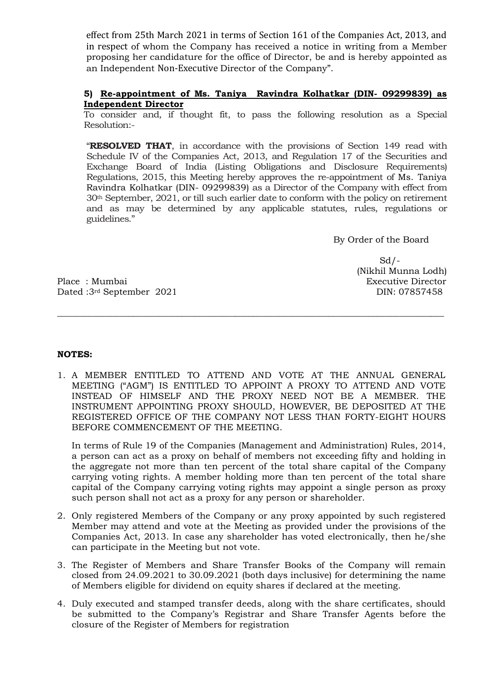effect from 25th March 2021 in terms of Section 161 of the Companies Act, 2013, and in respect of whom the Company has received a notice in writing from a Member proposing her candidature for the office of Director, be and is hereby appointed as an Independent Non-Executive Director of the Company".

# **5) Re-appointment of Ms. Taniya Ravindra Kolhatkar (DIN- 09299839) as Independent Director**

To consider and, if thought fit, to pass the following resolution as a Special Resolution:-

"**RESOLVED THAT**, in accordance with the provisions of Section 149 read with Schedule IV of the Companies Act, 2013, and Regulation 17 of the Securities and Exchange Board of India (Listing Obligations and Disclosure Requirements) Regulations, 2015, this Meeting hereby approves the re-appointment of Ms. Taniya Ravindra Kolhatkar (DIN- 09299839) as a Director of the Company with effect from 30th September, 2021, or till such earlier date to conform with the policy on retirement and as may be determined by any applicable statutes, rules, regulations or guidelines."

By Order of the Board

Place : Mumbai **Executive Director** Dated :3<sup>rd</sup> September 2021 DIN: 07857458

 $Sd$  /  $-$ (Nikhil Munna Lodh)

# **NOTES:**

1. A MEMBER ENTITLED TO ATTEND AND VOTE AT THE ANNUAL GENERAL MEETING ("AGM") IS ENTITLED TO APPOINT A PROXY TO ATTEND AND VOTE INSTEAD OF HIMSELF AND THE PROXY NEED NOT BE A MEMBER. THE INSTRUMENT APPOINTING PROXY SHOULD, HOWEVER, BE DEPOSITED AT THE REGISTERED OFFICE OF THE COMPANY NOT LESS THAN FORTY-EIGHT HOURS BEFORE COMMENCEMENT OF THE MEETING.

**\_\_\_\_\_\_\_\_\_\_\_\_\_\_\_\_\_\_\_\_\_\_\_\_\_\_\_\_\_\_\_\_\_\_\_\_\_\_\_\_\_\_\_\_\_\_\_\_\_\_\_\_\_\_\_\_\_\_\_\_\_\_\_\_\_\_\_\_\_\_\_\_\_\_\_\_\_\_\_\_\_\_\_\_\_\_\_** 

In terms of Rule 19 of the Companies (Management and Administration) Rules, 2014, a person can act as a proxy on behalf of members not exceeding fifty and holding in the aggregate not more than ten percent of the total share capital of the Company carrying voting rights. A member holding more than ten percent of the total share capital of the Company carrying voting rights may appoint a single person as proxy such person shall not act as a proxy for any person or shareholder.

- 2. Only registered Members of the Company or any proxy appointed by such registered Member may attend and vote at the Meeting as provided under the provisions of the Companies Act, 2013. In case any shareholder has voted electronically, then he/she can participate in the Meeting but not vote.
- 3. The Register of Members and Share Transfer Books of the Company will remain closed from 24.09.2021 to 30.09.2021 (both days inclusive) for determining the name of Members eligible for dividend on equity shares if declared at the meeting.
- 4. Duly executed and stamped transfer deeds, along with the share certificates, should be submitted to the Company's Registrar and Share Transfer Agents before the closure of the Register of Members for registration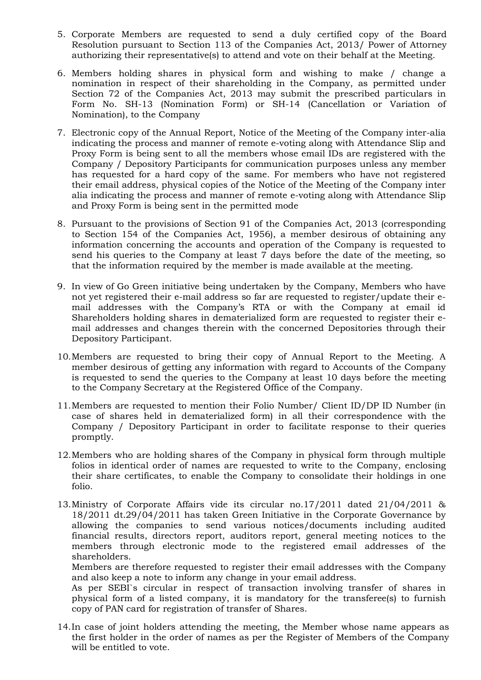- 5. Corporate Members are requested to send a duly certified copy of the Board Resolution pursuant to Section 113 of the Companies Act, 2013/ Power of Attorney authorizing their representative(s) to attend and vote on their behalf at the Meeting.
- 6. Members holding shares in physical form and wishing to make / change a nomination in respect of their shareholding in the Company, as permitted under Section 72 of the Companies Act, 2013 may submit the prescribed particulars in Form No. SH-13 (Nomination Form) or SH-14 (Cancellation or Variation of Nomination), to the Company
- 7. Electronic copy of the Annual Report, Notice of the Meeting of the Company inter-alia indicating the process and manner of remote e-voting along with Attendance Slip and Proxy Form is being sent to all the members whose email IDs are registered with the Company / Depository Participants for communication purposes unless any member has requested for a hard copy of the same. For members who have not registered their email address, physical copies of the Notice of the Meeting of the Company inter alia indicating the process and manner of remote e-voting along with Attendance Slip and Proxy Form is being sent in the permitted mode
- 8. Pursuant to the provisions of Section 91 of the Companies Act, 2013 (corresponding to Section 154 of the Companies Act, 1956), a member desirous of obtaining any information concerning the accounts and operation of the Company is requested to send his queries to the Company at least 7 days before the date of the meeting, so that the information required by the member is made available at the meeting.
- 9. In view of Go Green initiative being undertaken by the Company, Members who have not yet registered their e-mail address so far are requested to register/update their email addresses with the Company's RTA or with the Company at email id Shareholders holding shares in dematerialized form are requested to register their email addresses and changes therein with the concerned Depositories through their Depository Participant.
- 10.Members are requested to bring their copy of Annual Report to the Meeting. A member desirous of getting any information with regard to Accounts of the Company is requested to send the queries to the Company at least 10 days before the meeting to the Company Secretary at the Registered Office of the Company.
- 11.Members are requested to mention their Folio Number/ Client ID/DP ID Number (in case of shares held in dematerialized form) in all their correspondence with the Company / Depository Participant in order to facilitate response to their queries promptly.
- 12.Members who are holding shares of the Company in physical form through multiple folios in identical order of names are requested to write to the Company, enclosing their share certificates, to enable the Company to consolidate their holdings in one folio.
- 13.Ministry of Corporate Affairs vide its circular no.17/2011 dated 21/04/2011 & 18/2011 dt.29/04/2011 has taken Green Initiative in the Corporate Governance by allowing the companies to send various notices/documents including audited financial results, directors report, auditors report, general meeting notices to the members through electronic mode to the registered email addresses of the shareholders.

Members are therefore requested to register their email addresses with the Company and also keep a note to inform any change in your email address.

 As per SEBI`s circular in respect of transaction involving transfer of shares in physical form of a listed company, it is mandatory for the transferee(s) to furnish copy of PAN card for registration of transfer of Shares.

14.In case of joint holders attending the meeting, the Member whose name appears as the first holder in the order of names as per the Register of Members of the Company will be entitled to vote.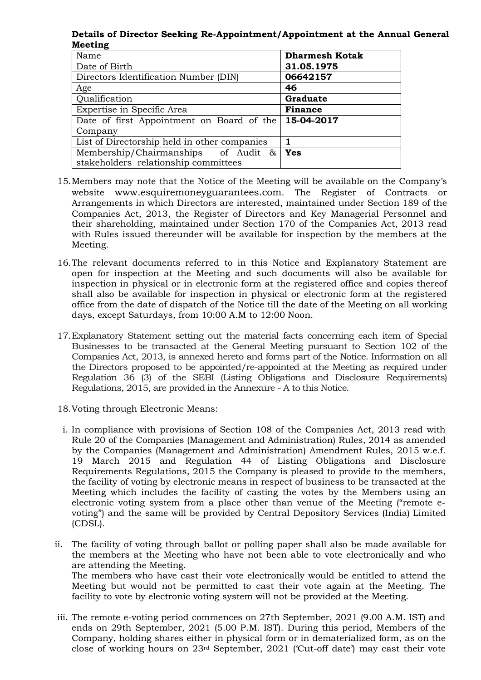**Details of Director Seeking Re-Appointment/Appointment at the Annual General Meeting** 

| Name                                         | <b>Dharmesh Kotak</b> |
|----------------------------------------------|-----------------------|
| Date of Birth                                | 31.05.1975            |
| Directors Identification Number (DIN)        | 06642157              |
| Age                                          | 46                    |
| Qualification                                | Graduate              |
| Expertise in Specific Area                   | <b>Finance</b>        |
| Date of first Appointment on Board of the    | 15-04-2017            |
| Company                                      |                       |
| List of Directorship held in other companies |                       |
| Membership/Chairmanships of Audit &          | Yes                   |
| stakeholders relationship committees         |                       |

- 15.Members may note that the Notice of the Meeting will be available on the Company's website www.esquiremoneyguarantees.com. The Register of Contracts or Arrangements in which Directors are interested, maintained under Section 189 of the Companies Act, 2013, the Register of Directors and Key Managerial Personnel and their shareholding, maintained under Section 170 of the Companies Act, 2013 read with Rules issued thereunder will be available for inspection by the members at the Meeting.
- 16.The relevant documents referred to in this Notice and Explanatory Statement are open for inspection at the Meeting and such documents will also be available for inspection in physical or in electronic form at the registered office and copies thereof shall also be available for inspection in physical or electronic form at the registered office from the date of dispatch of the Notice till the date of the Meeting on all working days, except Saturdays, from 10:00 A.M to 12:00 Noon.
- 17.Explanatory Statement setting out the material facts concerning each item of Special Businesses to be transacted at the General Meeting pursuant to Section 102 of the Companies Act, 2013, is annexed hereto and forms part of the Notice. Information on all the Directors proposed to be appointed/re-appointed at the Meeting as required under Regulation 36 (3) of the SEBI (Listing Obligations and Disclosure Requirements) Regulations, 2015, are provided in the Annexure - A to this Notice.
- 18.Voting through Electronic Means:
- i. In compliance with provisions of Section 108 of the Companies Act, 2013 read with Rule 20 of the Companies (Management and Administration) Rules, 2014 as amended by the Companies (Management and Administration) Amendment Rules, 2015 w.e.f. 19 March 2015 and Regulation 44 of Listing Obligations and Disclosure Requirements Regulations, 2015 the Company is pleased to provide to the members, the facility of voting by electronic means in respect of business to be transacted at the Meeting which includes the facility of casting the votes by the Members using an electronic voting system from a place other than venue of the Meeting ("remote evoting") and the same will be provided by Central Depository Services (India) Limited (CDSL).
- ii. The facility of voting through ballot or polling paper shall also be made available for the members at the Meeting who have not been able to vote electronically and who are attending the Meeting. The members who have cast their vote electronically would be entitled to attend the Meeting but would not be permitted to cast their vote again at the Meeting. The facility to vote by electronic voting system will not be provided at the Meeting.
- iii. The remote e-voting period commences on 27th September, 2021 (9.00 A.M. IST) and ends on 29th September, 2021 (5.00 P.M. IST). During this period, Members of the Company, holding shares either in physical form or in dematerialized form, as on the close of working hours on 23rd September, 2021 ('Cut-off date') may cast their vote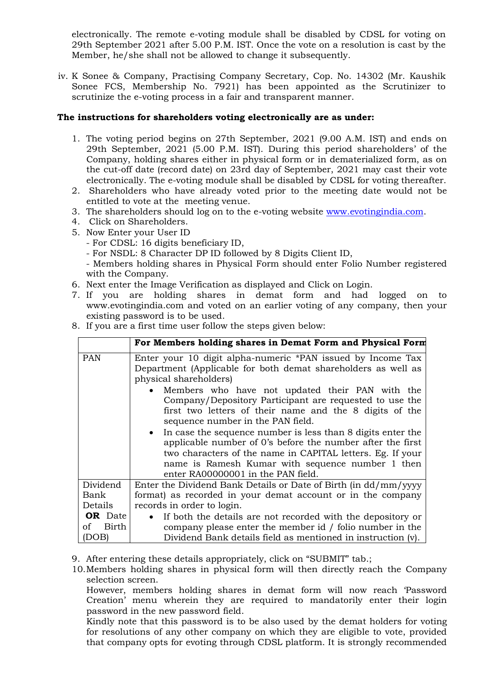electronically. The remote e-voting module shall be disabled by CDSL for voting on 29th September 2021 after 5.00 P.M. IST. Once the vote on a resolution is cast by the Member, he/she shall not be allowed to change it subsequently.

iv. K Sonee & Company, Practising Company Secretary, Cop. No. 14302 (Mr. Kaushik Sonee FCS, Membership No. 7921) has been appointed as the Scrutinizer to scrutinize the e-voting process in a fair and transparent manner.

# **The instructions for shareholders voting electronically are as under:**

- 1. The voting period begins on 27th September, 2021 (9.00 A.M. IST) and ends on 29th September, 2021 (5.00 P.M. IST). During this period shareholders' of the Company, holding shares either in physical form or in dematerialized form, as on the cut-off date (record date) on 23rd day of September, 2021 may cast their vote electronically. The e-voting module shall be disabled by CDSL for voting thereafter.
- 2. Shareholders who have already voted prior to the meeting date would not be entitled to vote at the meeting venue.
- 3. The shareholders should log on to the e-voting website www.evotingindia.com.
- 4. Click on Shareholders.
- 5. Now Enter your User ID
	- For CDSL: 16 digits beneficiary ID,
	- For NSDL: 8 Character DP ID followed by 8 Digits Client ID,
	- Members holding shares in Physical Form should enter Folio Number registered with the Company.
- 6. Next enter the Image Verification as displayed and Click on Login.
- 7. If you are holding shares in demat form and had logged on to www.evotingindia.com and voted on an earlier voting of any company, then your existing password is to be used.
- 8. If you are a first time user follow the steps given below:

|                | For Members holding shares in Demat Form and Physical Form                                                                                                                                                                                                                                                                                                                                                                                                                                                                                                                                                                                                    |  |
|----------------|---------------------------------------------------------------------------------------------------------------------------------------------------------------------------------------------------------------------------------------------------------------------------------------------------------------------------------------------------------------------------------------------------------------------------------------------------------------------------------------------------------------------------------------------------------------------------------------------------------------------------------------------------------------|--|
| <b>PAN</b>     | Enter your 10 digit alpha-numeric *PAN issued by Income Tax<br>Department (Applicable for both demat shareholders as well as<br>physical shareholders)<br>• Members who have not updated their PAN with the<br>Company/Depository Participant are requested to use the<br>first two letters of their name and the 8 digits of the<br>sequence number in the PAN field.<br>• In case the sequence number is less than 8 digits enter the<br>applicable number of 0's before the number after the first<br>two characters of the name in CAPITAL letters. Eg. If your<br>name is Ramesh Kumar with sequence number 1 then<br>enter RA00000001 in the PAN field. |  |
| Dividend       | Enter the Dividend Bank Details or Date of Birth (in dd/mm/yyyy                                                                                                                                                                                                                                                                                                                                                                                                                                                                                                                                                                                               |  |
| Bank           | format) as recorded in your demat account or in the company                                                                                                                                                                                                                                                                                                                                                                                                                                                                                                                                                                                                   |  |
| Details        | records in order to login.                                                                                                                                                                                                                                                                                                                                                                                                                                                                                                                                                                                                                                    |  |
| <b>OR</b> Date | • If both the details are not recorded with the depository or                                                                                                                                                                                                                                                                                                                                                                                                                                                                                                                                                                                                 |  |
| of Birth       | company please enter the member id / folio number in the                                                                                                                                                                                                                                                                                                                                                                                                                                                                                                                                                                                                      |  |
| (DOB)          | Dividend Bank details field as mentioned in instruction (v).                                                                                                                                                                                                                                                                                                                                                                                                                                                                                                                                                                                                  |  |

- 9. After entering these details appropriately, click on "SUBMIT" tab.;
- 10.Members holding shares in physical form will then directly reach the Company selection screen.

However, members holding shares in demat form will now reach 'Password Creation' menu wherein they are required to mandatorily enter their login password in the new password field.

Kindly note that this password is to be also used by the demat holders for voting for resolutions of any other company on which they are eligible to vote, provided that company opts for evoting through CDSL platform. It is strongly recommended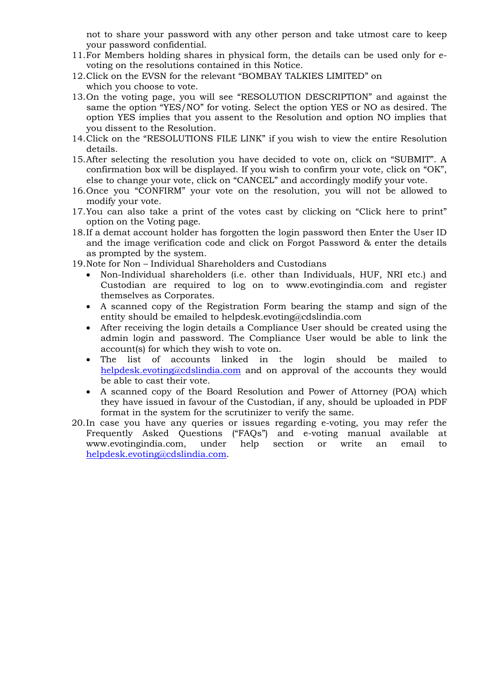not to share your password with any other person and take utmost care to keep your password confidential.

- 11.For Members holding shares in physical form, the details can be used only for evoting on the resolutions contained in this Notice.
- 12.Click on the EVSN for the relevant "BOMBAY TALKIES LIMITED" on which you choose to vote.
- 13.On the voting page, you will see "RESOLUTION DESCRIPTION" and against the same the option "YES/NO" for voting. Select the option YES or NO as desired. The option YES implies that you assent to the Resolution and option NO implies that you dissent to the Resolution.
- 14.Click on the "RESOLUTIONS FILE LINK" if you wish to view the entire Resolution details.
- 15.After selecting the resolution you have decided to vote on, click on "SUBMIT". A confirmation box will be displayed. If you wish to confirm your vote, click on "OK", else to change your vote, click on "CANCEL" and accordingly modify your vote.
- 16.Once you "CONFIRM" your vote on the resolution, you will not be allowed to modify your vote.
- 17.You can also take a print of the votes cast by clicking on "Click here to print" option on the Voting page.
- 18.If a demat account holder has forgotten the login password then Enter the User ID and the image verification code and click on Forgot Password & enter the details as prompted by the system.
- 19.Note for Non Individual Shareholders and Custodians
	- Non-Individual shareholders (i.e. other than Individuals, HUF, NRI etc.) and Custodian are required to log on to www.evotingindia.com and register themselves as Corporates.
	- A scanned copy of the Registration Form bearing the stamp and sign of the entity should be emailed to helpdesk.evoting@cdslindia.com
	- After receiving the login details a Compliance User should be created using the admin login and password. The Compliance User would be able to link the account(s) for which they wish to vote on.
	- The list of accounts linked in the login should be mailed to helpdesk.evoting@cdslindia.com and on approval of the accounts they would be able to cast their vote.
	- A scanned copy of the Board Resolution and Power of Attorney (POA) which they have issued in favour of the Custodian, if any, should be uploaded in PDF format in the system for the scrutinizer to verify the same.
- 20.In case you have any queries or issues regarding e-voting, you may refer the Frequently Asked Questions ("FAQs") and e-voting manual available at www.evotingindia.com, under help section or write an email to helpdesk.evoting@cdslindia.com.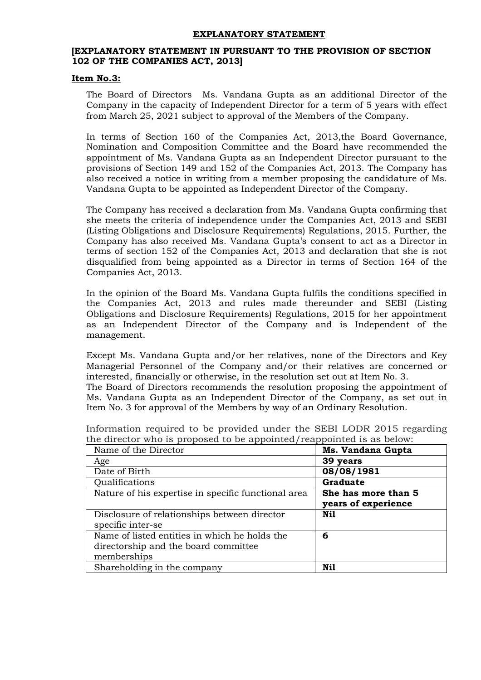### **EXPLANATORY STATEMENT**

## **[EXPLANATORY STATEMENT IN PURSUANT TO THE PROVISION OF SECTION 102 OF THE COMPANIES ACT, 2013]**

#### **Item No.3:**

The Board of Directors Ms. Vandana Gupta as an additional Director of the Company in the capacity of Independent Director for a term of 5 years with effect from March 25, 2021 subject to approval of the Members of the Company.

In terms of Section 160 of the Companies Act, 2013,the Board Governance, Nomination and Composition Committee and the Board have recommended the appointment of Ms. Vandana Gupta as an Independent Director pursuant to the provisions of Section 149 and 152 of the Companies Act, 2013. The Company has also received a notice in writing from a member proposing the candidature of Ms. Vandana Gupta to be appointed as Independent Director of the Company.

The Company has received a declaration from Ms. Vandana Gupta confirming that she meets the criteria of independence under the Companies Act, 2013 and SEBI (Listing Obligations and Disclosure Requirements) Regulations, 2015. Further, the Company has also received Ms. Vandana Gupta's consent to act as a Director in terms of section 152 of the Companies Act, 2013 and declaration that she is not disqualified from being appointed as a Director in terms of Section 164 of the Companies Act, 2013.

In the opinion of the Board Ms. Vandana Gupta fulfils the conditions specified in the Companies Act, 2013 and rules made thereunder and SEBI (Listing Obligations and Disclosure Requirements) Regulations, 2015 for her appointment as an Independent Director of the Company and is Independent of the management.

Except Ms. Vandana Gupta and/or her relatives, none of the Directors and Key Managerial Personnel of the Company and/or their relatives are concerned or interested, financially or otherwise, in the resolution set out at Item No. 3. The Board of Directors recommends the resolution proposing the appointment of Ms. Vandana Gupta as an Independent Director of the Company, as set out in

| Name of the Director                                | Ms. Vandana Gupta   |
|-----------------------------------------------------|---------------------|
| Age                                                 | 39 years            |
| Date of Birth                                       | 08/08/1981          |
| Qualifications                                      | <b>Graduate</b>     |
| Nature of his expertise in specific functional area | She has more than 5 |
|                                                     | years of experience |
| Disclosure of relationships between director        | Nil                 |
| specific inter-se                                   |                     |
| Name of listed entities in which he holds the       | 6                   |
| directorship and the board committee                |                     |
| memberships                                         |                     |
| Shareholding in the company                         | Nil                 |

Information required to be provided under the SEBI LODR 2015 regarding the director who is proposed to be appointed/reappointed is as below:

Item No. 3 for approval of the Members by way of an Ordinary Resolution.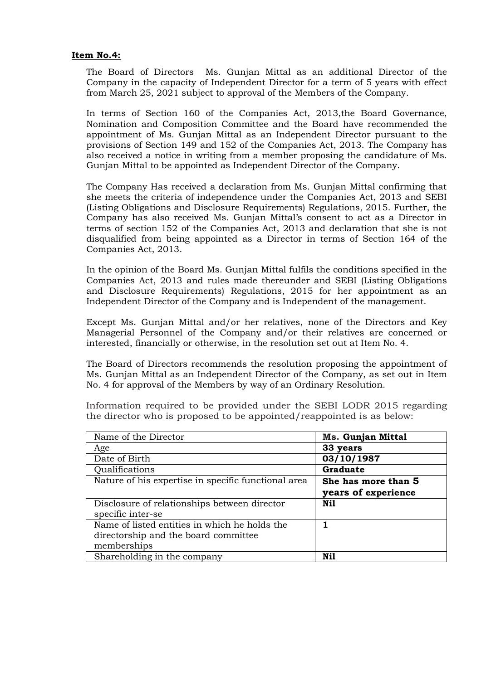## **Item No.4:**

The Board of Directors Ms. Gunjan Mittal as an additional Director of the Company in the capacity of Independent Director for a term of 5 years with effect from March 25, 2021 subject to approval of the Members of the Company.

In terms of Section 160 of the Companies Act, 2013,the Board Governance, Nomination and Composition Committee and the Board have recommended the appointment of Ms. Gunjan Mittal as an Independent Director pursuant to the provisions of Section 149 and 152 of the Companies Act, 2013. The Company has also received a notice in writing from a member proposing the candidature of Ms. Gunjan Mittal to be appointed as Independent Director of the Company.

The Company Has received a declaration from Ms. Gunjan Mittal confirming that she meets the criteria of independence under the Companies Act, 2013 and SEBI (Listing Obligations and Disclosure Requirements) Regulations, 2015. Further, the Company has also received Ms. Gunjan Mittal's consent to act as a Director in terms of section 152 of the Companies Act, 2013 and declaration that she is not disqualified from being appointed as a Director in terms of Section 164 of the Companies Act, 2013.

In the opinion of the Board Ms. Gunjan Mittal fulfils the conditions specified in the Companies Act, 2013 and rules made thereunder and SEBI (Listing Obligations and Disclosure Requirements) Regulations, 2015 for her appointment as an Independent Director of the Company and is Independent of the management.

Except Ms. Gunjan Mittal and/or her relatives, none of the Directors and Key Managerial Personnel of the Company and/or their relatives are concerned or interested, financially or otherwise, in the resolution set out at Item No. 4.

The Board of Directors recommends the resolution proposing the appointment of Ms. Gunjan Mittal as an Independent Director of the Company, as set out in Item No. 4 for approval of the Members by way of an Ordinary Resolution.

Information required to be provided under the SEBI LODR 2015 regarding the director who is proposed to be appointed/reappointed is as below:

| Name of the Director                                | <b>Ms. Gunjan Mittal</b> |
|-----------------------------------------------------|--------------------------|
| Age                                                 | 33 years                 |
| Date of Birth                                       | 03/10/1987               |
| Qualifications                                      | <b>Graduate</b>          |
| Nature of his expertise in specific functional area | She has more than 5      |
|                                                     | years of experience      |
| Disclosure of relationships between director        | Nil                      |
| specific inter-se                                   |                          |
| Name of listed entities in which he holds the       | 1                        |
| directorship and the board committee                |                          |
| memberships                                         |                          |
| Shareholding in the company                         | Nil                      |